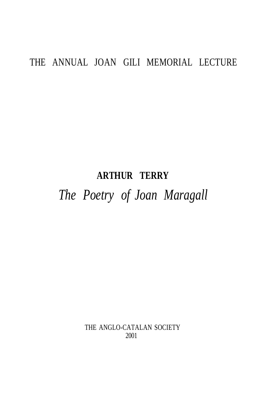# THE ANNUAL JOAN GILI MEMORIAL LECTURE

# **ARTHUR TERRY**

# *The Poetry of Joan Maragall*

THE ANGLO-CATALAN SOCIETY 2001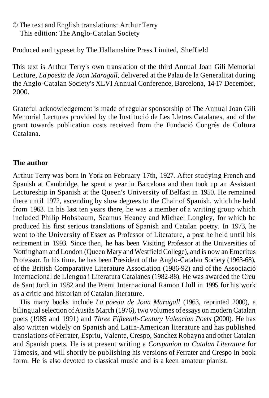## © The text and English translations: Arthur Terry This edition: The Anglo-Catalan Society

Produced and typeset by The Hallamshire Press Limited, Sheffield

This text is Arthur Terry's own translation of the third Annual Joan Gili Memorial Lecture, *La poesia de Joan Maragall,* delivered at the Palau de la Generalitat during the Anglo-Catalan Society's XLVI Annual Conference, Barcelona, 14-17 December, 2000.

Grateful acknowledgement is made of regular sponsorship of The Annual Joan Gili Memorial Lectures provided by the Institució de Les Lletres Catalanes, and of the grant towards publication costs received from the Fundació Congrés de Cultura Catalana.

#### **The author**

Arthur Terry was born in York on February 17th, 1927. After studying French and Spanish at Cambridge, he spent a year in Barcelona and then took up an Assistant Lectureship in Spanish at the Queen's University of Belfast in 1950. He remained there until 1972, ascending by slow degrees to the Chair of Spanish, which he held from 1963. In his last ten years there, he was a member of a writing group which included Philip Hobsbaum, Seamus Heaney and Michael Longley, for which he produced his first serious translations of Spanish and Catalan poetry. In 1973, he went to the University of Essex as Professor of Literature, a post he held until his retirement in 1993. Since then, he has been Visiting Professor at the Universities of Nottingham and London (Queen Mary and Westfield College), and is now an Emeritus Professor. In his time, he has been President of the Anglo-Catalan Society (1963-68), of the British Comparative Literature Association (1986-92) and of the Associació Internacional de Llengua i Literatura Catalanes (1982-88). He was awarded the Creu de Sant Jordi in 1982 and the Premi Internacional Ramon Llull in 1995 for his work as a critic and historian of Catalan literature.

His many books include *La poesia de Joan Maragall* (1963, reprinted 2000), a bilingual selection of Ausiàs March (1976), two volumes of essays on modern Catalan poets (1985 and 1991) and *Three Fifteenth-Century Valencian Poets* (2000). He has also written widely on Spanish and Latin-American literature and has published translations of Ferrater, Espriu, Valente, Crespo, Sanchez Robayna and other Catalan and Spanish poets. He is at present writing a *Companion to Catalan Literature* for Tàmesis, and will shortly be publishing his versions of Ferrater and Crespo in book form. He is also devoted to classical music and is a keen amateur pianist.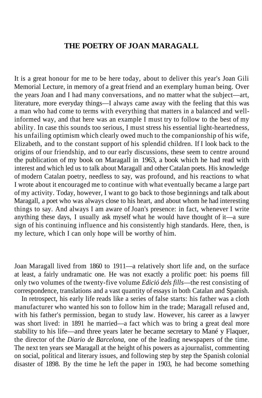### **THE POETRY OF JOAN MARAGALL**

It is a great honour for me to be here today, about to deliver this year's Joan Gili Memorial Lecture, in memory of a great friend and an exemplary human being. Over the years Joan and I had many conversations, and no matter what the subject—art, literature, more everyday things—I always came away with the feeling that this was a man who had come to terms with everything that matters in a balanced and wellinformed way, and that here was an example I must try to follow to the best of my ability. In case this sounds too serious, I must stress his essential light-heartedness, his unfailing optimism which clearly owed much to the companionship of his wife, Elizabeth, and to the constant support of his splendid children. If I look back to the origins of our friendship, and to our early discussions, these seem to centre around the publication of my book on Maragall in 1963, a book which he had read with interest and which led us to talk about Maragall and other Catalan poets. His knowledge of modern Catalan poetry, needless to say, was profound, and his reactions to what I wrote about it encouraged me to continue with what eventually became a large part of my activity. Today, however, I want to go back to those beginnings and talk about Maragall, a poet who was always close to his heart, and about whom he had interesting things to say. And always I am aware of Joan's presence: in fact, whenever I write anything these days, I usually ask myself what he would have thought of it—a sure sign of his continuing influence and his consistently high standards. Here, then, is my lecture, which I can only hope will be worthy of him.

Joan Maragall lived from 1860 to 1911—a relatively short life and, on the surface at least, a fairly undramatic one. He was not exactly a prolific poet: his poems fill only two volumes of the twenty-five volume *Edició dels fills*—the rest consisting of correspondence, translations and a vast quantity of essays in both Catalan and Spanish.

In retrospect, his early life reads like a series of false starts: his father was a cloth manufacturer who wanted his son to follow him in the trade; Maragall refused and, with his father's permission, began to study law. However, his career as a lawyer was short lived: in 1891 he married—a fact which was to bring a great deal more stability to his life—and three years later he became secretary to Mané y Flaquer, the director of the *Diario de Barcelona,* one of the leading newspapers of the time. The next ten years see Maragall at the height of his powers as a journalist, commenting on social, political and literary issues, and following step by step the Spanish colonial disaster of 1898. By the time he left the paper in 1903, he had become something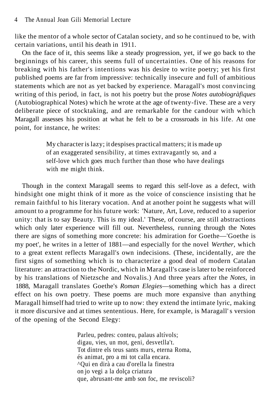like the mentor of a whole sector of Catalan society, and so he continued to be, with certain variations, until his death in 1911.

On the face of it, this seems like a steady progression, yet, if we go back to the beginnings of his career, this seems full of uncertainties. One of his reasons for breaking with his father's intentions was his desire to write poetry; yet his first published poems are far from impressive: technically insecure and full of ambitious statements which are not as yet backed by experience. Maragall's most convincing writing of this period, in fact, is not his poetry but the prose *Notes autobiogràfiques* (Autobiographical Notes) which he wrote at the age of twenty-five. These are a very deliberate piece of stocktaking, and are remarkable for the candour with which Maragall assesses his position at what he felt to be a crossroads in his life. At one point, for instance, he writes:

> My character is lazy; it despises practical matters; it is made up of an exaggerated sensibility, at times extravagantly so, and a self-love which goes much further than those who have dealings with me might think.

Though in the context Maragall seems to regard this self-love as a defect, with hindsight one might think of it more as the voice of conscience insisting that he remain faithful to his literary vocation. And at another point he suggests what will amount to a programme for his future work: 'Nature, Art, Love, reduced to a superior unity: that is to say Beauty. This is my ideal.' These, of course, are still abstractions which only later experience will fill out. Nevertheless, running through the Notes there are signs of something more concrete: his admiration for Goethe—'Goethe is my poet', he writes in a letter of 1881—and especially for the novel *Werther,* which to a great extent reflects Maragall's own indecisions. (These, incidentally, are the first signs of something which is to characterize a good deal of modern Catalan literature: an attraction to the Nordic, which in Maragall's case is later to be reinforced by his translations of Nietzsche and Novalis.) And three years after the *Notes,* in 1888, Maragall translates Goethe's *Roman Elegies*—something which has a direct effect on his own poetry. These poems are much more expansive than anything Maragall himself had tried to write up to now: they extend the intimate lyric, making it more discursive and at times sententious. Here, for example, is Maragall' s version of the opening of the Second Elegy:

> Parleu, pedres: conteu, palaus altívols; digau, vies, un mot, geni, desvetlla't. Tot dintre els teus sants murs, eterna Roma, és animat, pro a mi tot calla encara. ^Qui en dirà a cau d'orella la finestra on jo vegi a la dolça criatura que, abrusant-me amb son foc, me reviscoli?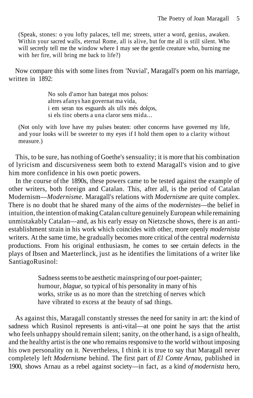(Speak, stones: o you lofty palaces, tell me; streets, utter a word, genius, awaken. Within your sacred walls, eternal Rome, all is alive, but for me all is still silent. Who will secretly tell me the window where I may see the gentle creature who, burning me with her fire, will bring me back to life?)

Now compare this with some lines from 'Nuvial', Maragall's poem on his marriage, written in 1892:

> No sols d'amor han bategat mos polsos: altres afanys han governat ma vida, i em seran tos esguards als ulls més dolços,  $\overline{\text{s}}$ i els tinc oberts a una claror sens mida.

(Not only with love have my pulses beaten: other concerns have governed my life, and your looks will be sweeter to my eyes if I hold them open to a clarity without measure.)

This, to be sure, has nothing of Goethe's sensuality; it is more that his combination of lyricism and discursiveness seem both to extend Maragall's vision and to give him more confidence in his own poetic powers.

In the course of the 1890s, these powers came to be tested against the example of other writers, both foreign and Catalan. This, after all, is the period of Catalan Modernism—*Modernisme.* Maragall's relations with *Modernisme* are quite complex. There is no doubt that he shared many of the aims of the *modernistes*—the belief in intuition, the intention of making Catalan culture genuinely European while remaining unmistakably Catalan—and, as his early essay on Nietzsche shows, there is an antiestablishment strain in his work which coincides with other, more openly *modernista* writers. At the same time, he gradually becomes more critical of the central *modernista* productions. From his original enthusiasm, he comes to see certain defects in the plays of Ibsen and Maeterlinck, just as he identifies the limitations of a writer like Santiago Rusinol:

> Sadness seems to be aesthetic mainspring of our poet-painter; humour, *blague,* so typical of his personality in many of his works, strike us as no more than the stretching of nerves which have vibrated to excess at the beauty of sad things.

As against this, Maragall constantly stresses the need for sanity in art: the kind of sadness which Rusinol represents is anti-vital—at one point he says that the artist who feels unhappy should remain silent; sanity, on the other hand, is a sign of health, and the healthy artist is the one who remains responsive to the world without imposing his own personality on it. Nevertheless, I think it is true to say that Maragall never completely left *Modernisme* behind. The first part of *El Comte Arnau,* published in 1900, shows Arnau as a rebel against society—in fact, as a kind *of modernista* hero,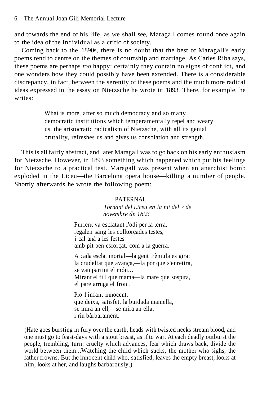and towards the end of his life, as we shall see, Maragall comes round once again to the idea of the individual as a critic of society.

Coming back to the 1890s, there is no doubt that the best of Maragall's early poems tend to centre on the themes of courtship and marriage. As Carles Riba says, these poems are perhaps *too* happy; certainly they contain no signs of conflict, and one wonders how they could possibly have been extended. There is a considerable discrepancy, in fact, between the serenity of these poems and the much more radical ideas expressed in the essay on Nietzsche he wrote in 1893. There, for example, he writes:

> What is more, after so much democracy and so many democratic institutions which temperamentally repel and weary us, the aristocratic radicalism of Nietzsche, with all its genial brutality, refreshes us and gives us consolation and strength.

This is all fairly abstract, and later Maragall was to go back on his early enthusiasm for Nietzsche. However, in 1893 something which happened which put his feelings for Nietzsche to a practical test. Maragall was present when an anarchist bomb exploded in the Liceu—the Barcelona opera house—killing a number of people. Shortly afterwards he wrote the following poem:

#### PATERNAL

*Tornant del Liceu en la nit del 7 de novembre de 1893*

Furient va esclatant l'odi per la terra, regalen sang les colltorçades testes, i cal anà a les festes amb pit ben esforçat, com a la guerra.

A cada esclat mortal—la gent trèmula es gira: la crudeltat que avança,—la por que s'enretira, se van partint el món... Mirant el fill que mama—la mare que sospira, el pare arruga el front.

Pro l'infant innocent, que deixa, satisfet, la buidada mamella, se mira an ell,—se mira an ella, i riu bàrbarament.

(Hate goes bursting in fury over the earth, heads with twisted necks stream blood, and one must go to feast-days with a stout breast, as if to war. At each deadly outburst the people, trembling, turn: cruelty which advances, fear which draws back, divide the world between them...Watching the child which sucks, the mother who sighs, the father frowns. But the innocent child who, satisfied, leaves the empty breast, looks at him, looks at her, and laughs barbarously.)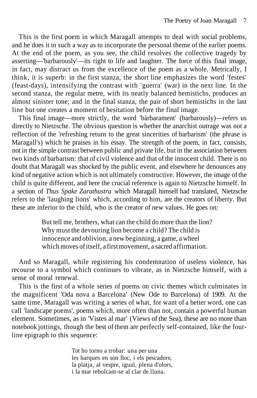This is the first poem in which Maragall attempts to deal with social problems, and he does it in such a way as to incorporate the personal theme of the earlier poems. At the end of the poem, as you see, the child resolves the collective tragedy by asserting—'barbarously'—its right to life and laughter. The force of this final image, in fact, may distract us from the excellence of the poem as a whole. Metrically, I think, it is superb: in the first stanza, the short line emphasizes the word 'festes' (feast-days), intensifying the contrast with 'guerra' (war) in the next line. In the second stanza, the regular metre, with its neatly balanced hemistichs, produces an almost sinister tone; and in the final stanza, the pair of short hemistichs in the last line but one creates a moment of hesitation before the final image.

This final image—more strictly, the word 'bàrbarament' (barbarously)—refers us directly to Nietzsche. The obvious question is whether the anarchist outrage was not a reflection of the 'refreshing return to the great sincerities of barbarism' (the phrase is Maragall's) which he praises in his essay. The strength of the poem, in fact, consists, not in the simple contrast between public and private life, but in the association between two kinds of barbarism: that of civil violence and that of the innocent child. There is no doubt that Maragall was shocked by the public event, and elsewhere he denounces any kind of negative action which is not ultimately constructive. However, the image of the child is quite different, and here the crucial reference is again to Nietzsche himself. In a section of *Thus Spake Zarathustra* which Maragall himself had translated, Nietzsche refers to the 'laughing lions' which, according to him, are the creators of liberty. But these are inferior to the child, who is the creator of new values. He goes on:

> But tell me, brothers, what can the child do more than the lion? Why must the devouring lion become a child? The child is innocence and oblivion, a new beginning, a game, a wheel which moves of itself, a first movement, a sacred affirmation.

And so Maragall, while registering his condemnation of useless violence, has recourse to a symbol which continues to vibrate, as in Nietzsche himself, with a sense of moral renewal.

This is the first of a whole series of poems on civic themes which culminates in the magnificent 'Oda nova a Barcelona' (New Ode to Barcelona) of 1909. At the same time, Maragall was writing a series of what, for want of a better word, one can call 'landscape poems', poems which, more often than not, contain a powerful human element. Sometimes, as in 'Vistes al mar' (Views of the Sea), these are no more than notebook jottings, though the best of them are perfectly self-contained, like the fourline epigraph to this sequence:

> Tot ho torno a trobar: una per una les barques en son lloc, i els pescadors; la platja, al vespre, igual, plena d'olors, i la mar rebolcant-se al clar de lluna.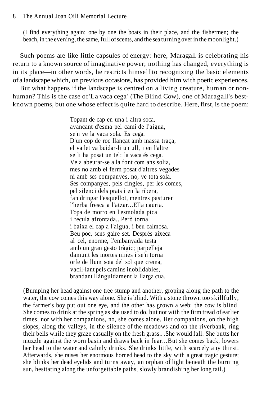(I find everything again: one by one the boats in their place, and the fishermen; the beach, in the evening, the same, full of scents, and the sea turning over in the moonlight.)

Such poems are like little capsules of energy: here, Maragall is celebrating his return to a known source of imaginative power; nothing has changed, everything is in its place—in other words, he restricts himself to recognizing the basic elements of a landscape which, on previous occasions, has provided him with poetic experiences.

But what happens if the landscape is centred on a living creature, human or nonhuman? This is the case of'La vaca cega' (The Blind Cow), one of Maragall's bestknown poems, but one whose effect is quite hard to describe. Here, first, is the poem:

> Topant de cap en una i altra soca, avançant d'esma pel camí de l'aigua, se'n ve la vaca sola. Es cega. D'un cop de roc llançat amb massa traça, el vailet va buidar-li un ull, i en l'altre se li ha posat un tel: la vaca és cega. Ve a abeurar-se a la font com ans solia, mes no amb el ferm posat d'altres vegades ni amb ses companyes, no, ve tota sola. Ses companyes, pels cingles, per les comes, pel silenci dels prats i en la ribera, fan dringar l'esquellot, mentres pasturen l'herba fresca a l'atzar...Ella cauria. Topa de morro en l'esmolada pica i recula afrontada...Però torna i baixa el cap a l'aigua, i beu calmosa. Beu poc, sens gaire set. Després aixeca al cel, enorme, l'embanyada testa amb un gran gesto tràgic; parpelleja damunt les mortes nines i se'n torna orfe de llum sota del sol que crema, vacil·lant pels camins inoblidables, brandant llànguidament la llarga cua.

(Bumping her head against one tree stump and another, groping along the path to the water, the cow comes this way alone. She is blind. With a stone thrown too skillfully, the farmer's boy put out one eye, and the other has grown a web: the cow is blind. She comes to drink at the spring as she used to do, but not with the firm tread of earlier times, nor with her companions, no, she comes alone. Her companions, on the high slopes, along the valleys, in the silence of the meadows and on the riverbank, ring their bells while they graze casually on the fresh grass.. .She would fall. She butts her muzzle against the worn basin and draws back in fear...But she comes back, lowers her head to the water and calmly drinks. She drinks little, with scarcely any thirst. Afterwards, she raises her enormous horned head to the sky with a great tragic gesture; she blinks her dead eyelids and turns away, an orphan of light beneath the burning sun, hesitating along the unforgettable paths, slowly brandishing her long tail.)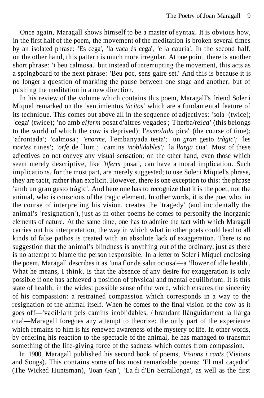Once again, Maragall shows himself to be a master of syntax. It is obvious how, in the first half of the poem, the movement of the meditation is broken several times by an isolated phrase: 'És cega', 'la vaca és cega', 'ella cauria'. In the second half, on the other hand, this pattern is much more irregular. At one point, there is another short phrase: 'i beu calmosa.' but instead of interrupting the movement, this acts as a springboard to the next phrase: 'Beu poc, sens gaire set.' And this is because it is no longer a question of marking the pause between one stage and another, but of pushing the meditation in a new direction.

In his review of the volume which contains this poem, MaragalFs friend Soler i Miquel remarked on the 'sentimientos *tàcitos'* which are a fundamental feature of its technique. This comes out above all in the sequence of adjectives: 'sola' (twice); 'cega' (twice); 'no amb *elferm* posat d'altres vegades'; Therba/rei*ca'* (this belongs to the world of which the cow is deprived); l'*esmolada* pica' (the course of time); 'afrontada'; 'calmosa'; *'enorme,* l'embanyada testa'; 'un *gran* gesto *tràgic';* 'les *mortes* nines'; *'orfe* de llum'; 'camins *inoblidables';* 'la *llarga* cua'. Most of these adjectives do not convey any visual sensation; on the other hand, even those which seem merely descriptive, like *'t\ferm* posat', can have a moral implication. Such implications, for the most part, are merely suggested; to use Soler i Miquel's phrase, they are tacit, rather than explicit. However, there is one exception to this: the phrase 'amb un gran gesto tràgic'. And here one has to recognize that it is the poet, not the animal, who is conscious of the tragic element. In other words, it is the poet who, in the course of interpreting his vision, creates the 'tragedy' (and incidentally the animal's 'resignation'), just as in other poems he comes to personify the inorganic elements of nature. At the same time, one has to admire the tact with which Maragall carries out his interpretation, the way in which what in other poets could lead to all kinds of false pathos is treated with an absolute lack of exaggeration. There is no suggestion that the animal's blindness is anything out of the ordinary, just as there is no attempt to blame the person responsible. In a letter to Soler i Miquel enclosing the poem, Maragall describes it as 'una flor de salut ociosa'—a 'flower of idle health'. What he means, I think, is that the absence of any desire for exaggeration is only possible if one has achieved a position of physical and mental equilibrium. It is this state of health, in the widest possible sense of the word, which ensures the sincerity of his compassion: a restrained compassion which corresponds in a way to the resignation of the animal itself. When he comes to the final vision of the cow as it goes off—'vacil·lant pels camins inoblidables, / brandant llànguidament la llarga cua'—Maragall foregoes any attempt to theorize: the only part of the experience which remains to him is his renewed awareness of the mystery of life. In other words, by ordering his reaction to the spectacle of the animal, he has managed to transmit something of the life-giving force of the sadness which comes from compassion.

In 1900, Maragall published his second book of poems, *Visions i cants* (Visions and Songs). This contains some of his most remarkable poems: 'El mal caçador' (The Wicked Huntsman), 'Joan Gan", 'La fi d'En Serrallonga', as well as the first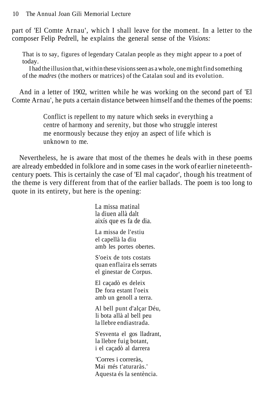part of 'El Comte Arnau', which I shall leave for the moment. In a letter to the composer Felip Pedrell, he explains the general sense of the *Visions:*

That is to say, figures of legendary Catalan people as they might appear to a poet of today.

I had the illusion that, within these visions seen as a whole, one might find something of the *madres* (the mothers or matrices) of the Catalan soul and its evolution.

And in a letter of 1902, written while he was working on the second part of 'El Comte Arnau', he puts a certain distance between himself and the themes of the poems:

> Conflict is repellent to my nature which seeks in everything a centre of harmony and serenity, but those who struggle interest me enormously because they enjoy an aspect of life which is unknown to me.

Nevertheless, he is aware that most of the themes he deals with in these poems are already embedded in folklore and in some cases in the work of earlier nineteenthcentury poets. This is certainly the case of 'El mal caçador', though his treatment of the theme is very different from that of the earlier ballads. The poem is too long to quote in its entirety, but here is the opening:

> La missa matinal la diuen allà dalt aixís que es fa de dia. La missa de l'estiu el capellà la diu amb les portes obertes. S'oeix de tots costats quan enflaira els serrats el ginestar de Corpus. El caçadò es deleix De fora estant l'oeix amb un genoll a terra. Al bell punt d'alçar Déu, li bota allà al bell peu la llebre endiastrada. S'esventa el gos lladrant, la llebre fuig botant, i el caçadò al darrera 'Corres i correràs, Mai més t'aturaràs.' Aquesta és la sentència.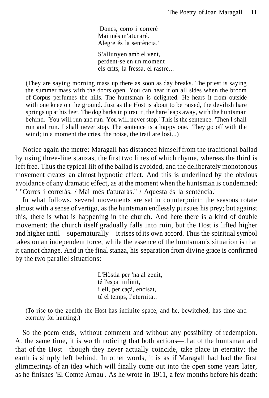'Doncs, corro i correré Mai més m'aturaré. Alegre és la sentència.'

S'allunyen amb el vent, perdent-se en un moment els crits, la fressa, el rastre...

(They are saying morning mass up there as soon as day breaks. The priest is saying the summer mass with the doors open. You can hear it on all sides when the broom of Corpus perfumes the hills. The huntsman is delighted. He hears it from outside with one knee on the ground. Just as the Host is about to be raised, the devilish hare springs up at his feet. The dog barks in pursuit, the hare leaps away, with the huntsman behind. 'You will run and run. You will never stop.' This is the sentence. 'Then I shall run and run. I shall never stop. The sentence is a happy one.' They go off with the wind; in a moment the cries, the noise, the trail are lost...)

Notice again the metre: Maragall has distanced himself from the traditional ballad by using three-line stanzas, the first two lines of which rhyme, whereas the third is left free. Thus the typical lilt of the ballad is avoided, and the deliberately monotonous movement creates an almost hypnotic effect. And this is underlined by the obvious avoidance of any dramatic effect, as at the moment when the huntsman is condemned: ' "Corres i correràs. / Mai més t'aturaràs." / Aquesta és la sentència.'

In what follows, several movements are set in counterpoint: the seasons rotate almost with a sense of vertigo, as the huntsman endlessly pursues his prey; but against this, there is what is happening in the church. And here there is a kind of double movement: the church itself gradually falls into ruin, but the Host is lifted higher and higher until—supernaturally—it rises of its own accord. Thus the spiritual symbol takes on an independent force, while the essence of the huntsman's situation is that it cannot change. And in the final stanza, his separation from divine grace is confirmed by the two parallel situations:

> L'Hòstia per 'na al zenit, té l'espai infinit, i ell, per caçà, encisat, té el temps, l'eternitat.

(To rise to the zenith the Host has infinite space, and he, bewitched, has time and eternity for hunting.)

So the poem ends, without comment and without any possibility of redemption. At the same time, it is worth noticing that both actions—that of the huntsman and that of the Host—though they never actually coincide, take place in eternity; the earth is simply left behind. In other words, it is as if Maragall had had the first glimmerings of an idea which will finally come out into the open some years later, as he finishes 'El Comte Arnau'. As he wrote in 1911, a few months before his death: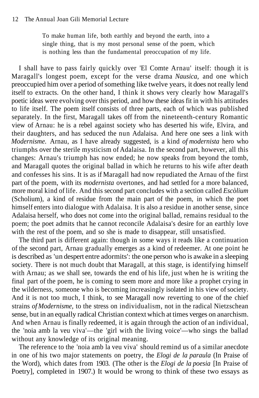To make human life, both earthly and beyond the earth, into a single thing, that is my most personal sense of the poem, which is nothing less than the fundamental preoccupation of my life.

I shall have to pass fairly quickly over 'El Comte Arnau' itself: though it is Maragall's longest poem, except for the verse drama *Nausica,* and one which preoccupied him over a period of something like twelve years, it does not really lend itself to extracts. On the other hand, I think it shows very clearly how Maragall's poetic ideas were evolving over this period, and how these ideas fit in with his attitudes to life itself. The poem itself consists of three parts, each of which was published separately. In the first, Maragall takes off from the nineteenth-century Romantic view of Arnau: he is a rebel against society who has deserted his wife, Elvira, and their daughters, and has seduced the nun Adalaisa. And here one sees a link with *Modernisme.* Arnau, as I have already suggested, is a kind *of modernista* hero who triumphs over the sterile mysticism of Adalaisa. In the second part, however, all this changes: Arnau's triumph has now ended; he now speaks from beyond the tomb, and Maragall quotes the original ballad in which he returns to his wife after death and confesses his sins. It is as if Maragall had now repudiated the Arnau of the first part of the poem, with its *modernista* overtones, and had settled for a more balanced, more moral kind of life. And this second part concludes with a section called *Escòlium* (Scholium), a kind of residue from the main part of the poem, in which the poet himself enters into dialogue with Adalaisa. It is also a residue in another sense, since Adalaisa herself, who does not come into the original ballad, remains residual to the poem; the poet admits that he cannot reconcile Adalaisa's desire for an earthly love with the rest of the poem, and so she is made to disappear, still unsatisfied.

The third part is different again: though in some ways it reads like a continuation of the second part, Arnau gradually emerges as a kind of redeemer. At one point he is described as 'un despert entre adormits': the one person who is awake in a sleeping society. There is not much doubt that Maragall, at this stage, is identifying himself with Arnau; as we shall see, towards the end of his life, just when he is writing the final part of the poem, he is coming to seem more and more like a prophet crying in the wilderness, someone who is becoming increasingly isolated in his view of society. And it is not too much, I think, to see Maragall now reverting to one of the chief strains *of Modernisme,* to the stress on individualism, not in the radical Nietzschean sense, but in an equally radical Christian context which at times verges on anarchism. And when Arnau is finally redeemed, it is again through the action of an individual, the 'noia amb la veu viva'—the 'girl with the living voice'—who sings the ballad without any knowledge of its original meaning.

The reference to the 'noia amb la veu viva' should remind us of a similar anecdote in one of his two major statements on poetry, the *Elogi de la paraula* (In Praise of the Word), which dates from 1903. (The other is the *Elogi de la poesia* [In Praise of Poetry], completed in 1907.) It would be wrong to think of these two essays as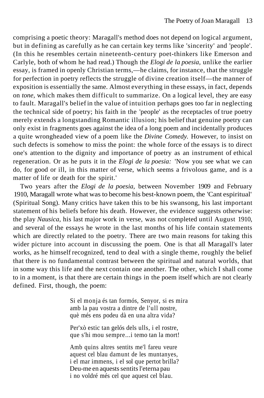comprising a poetic theory: Maragall's method does not depend on logical argument, but in defining as carefully as he can certain key terms like 'sincerity' and 'people'. (In this he resembles certain nineteenth-century poet-thinkers like Emerson and Carlyle, both of whom he had read.) Though the *Elogi de la poesia,* unlike the earlier essay, is framed in openly Christian terms,—he claims, for instance, that the struggle for perfection in poetry reflects the struggle of divine creation itself—the manner of exposition is essentially the same. Almost everything in these essays, in fact, depends on *tone,* which makes them difficult to summarize. On a logical level, they are easy to fault. Maragall's belief in the value of intuition perhaps goes too far in neglecting the technical side of poetry; his faith in the 'people' as the receptacles of true poetry merely extends a longstanding Romantic illusion; his belief that genuine poetry can only exist in fragments goes against the idea of a long poem and incidentally produces a quite wrongheaded view of a poem like the *Divine Comedy.* However, to insist on such defects is somehow to miss the point: the whole force of the essays is to direct one's attention to the dignity and importance of poetry as an instrument of ethical regeneration. Or as he puts it in the *Elogi de la poesia:* 'Now you see what we can do, for good or ill, in this matter of verse, which seems a frivolous game, and is a matter of life or death for the spirit.'

Two years after the *Elogi de la poesia,* between November 1909 and February 1910, Maragall wrote what was to become his best-known poem, the 'Cant espiritual' (Spiritual Song). Many critics have taken this to be his swansong, his last important statement of his beliefs before his death. However, the evidence suggests otherwise: the play *Nausica,* his last major work in verse, was not completed until August 1910, and several of the essays he wrote in the last months of his life contain statements which are directly related to the poetry. There are two main reasons for taking this wider picture into account in discussing the poem. One is that all Maragall's later works, as he himself recognized, tend to deal with a single theme, roughly the belief that there is no fundamental contrast between the spiritual and natural worlds, that in some way this life and the next contain one another. The other, which I shall come to in a moment, is that there are certain things in the poem itself which are not clearly defined. First, though, the poem:

> Si el monja és tan formós, Senyor, si es mira amb la pau vostra a dintre de l'ull nostre, què més ens podeu dà en una altra vida?

Per'xò estic tan gelós dels ulls, i el rostre, que s'hi mou sempre...i temo tan la mort!

Amb quins altres sentits me'l fareu veure aquest cel blau damunt de les muntanyes, i el mar immens, i el sol que pertot brilla? Deu-me en aquests sentits l'eterna pau i no voldré més cel que aquest cel blau.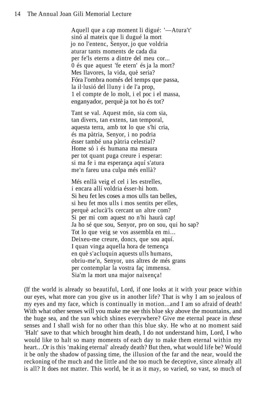Aquell que a cap moment li digué: '—Atura't' sinó al mateix que li dugué la mort jo no l'entenc, Senyor, jo que voldria aturar tants moments de cada dia per fe'ls eterns a dintre del meu cor... 0 és que aquest 'fe etern' és ja la mort? Mes llavores, la vida, què seria? Fóra l'ombra només del temps que passa, la il·lusió del lluny i de l'a prop, 1 el compte de lo molt, i el poc i el massa, enganyador, perquè ja tot ho és tot?

Tant se val. Aquest món, sia com sia, tan divers, tan extens, tan temporal, aquesta terra, amb tot lo que s'hi cria, és ma pàtria, Senyor, i no podria ésser també una pàtria celestial? Home só i és humana ma mesura per tot quant puga creure i esperar: si ma fe i ma esperança aquí s'atura me'n fareu una culpa més enllà?

Més enllà veig el cel i les estrelles, i encara allí voldria ésser-hi hom. Si heu fet les coses a mos ulls tan belles, si heu fet mos ulls i mos sentits per elles, perquè aclucà'ls cercant un altre com? Si per mi com aquest no n'hi haurà cap! Ja ho sé que sou, Senyor, pro on sou, qui ho sap? Tot lo que veig se vos assembla en mi... Deixeu-me creure, doncs, que sou aquí. I quan vinga aquella hora de temença en què s'acluquin aquests ulls humans, obriu-me'n, Senyor, uns altres de més grans per contemplar la vostra faç immensa. Sia'm la mort una major naixença!

(If the world is already so beautiful, Lord, if one looks at it with your peace within our eyes, what more can you give us in another life? That is why I am so jealous of my eyes and my face, which is continually in motion...and I am so afraid of death! With what other senses will you make me see this blue sky above the mountains, and the huge sea, and the sun which shines everywhere? Give me eternal peace in *these* senses and I shall wish for no other than this blue sky. He who at no moment said 'Halt' save to that which brought him death, I do not understand him, Lord, I who would like to halt so many moments of each day to make them eternal within my heart.. .Or is this 'making eternal' already death? But then, what would life be? Would it be only the shadow of passing time, the illusion of the far and the near, would the reckoning of the much and the little and the too much be deceptive, since already all is all? It does not matter. This world, be it as it may, so varied, so vast, so much of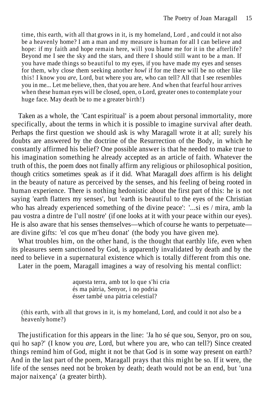time, this earth, with all that grows in it, is my homeland, Lord , and could it not also be a heavenly home? I am a man and my measure is human for all I can believe and hope: if my faith and hope remain here, will you blame me for it in the afterlife? Beyond me I see the sky and the stars, and there I should still want to be a man. If you have made things so beautiful to my eyes, if you have made my eyes and senses for them, why close them seeking another *howl* if for me there will be no other like this! I know you *are,* Lord, but where you are, who can tell? All that I see resembles you in me... Let me believe, then, that you are here. And when that fearful hour arrives when these human eyes will be closed, open, o Lord, greater ones to contemplate your huge face. May death be to me a greater birth!)

Taken as a whole, the 'Cant espiritual' is a poem about personal immortality, more specifically, about the terms in which it is possible to imagine survival after death. Perhaps the first question we should ask is why Maragall wrote it at all; surely his doubts are answered by the doctrine of the Resurrection of the Body, in which he constantly affirmed his belief? One possible answer is that he needed to make true to his imagination something he already accepted as an article of faith. Whatever the truth of this, the poem does not finally affirm any religious or philosophical position, though critics sometimes speak as if it did. What Maragall *does* affirm is his delight in the beauty of nature as perceived by the senses, and his feeling of being rooted in human experience. There is nothing hedonistic about the first part of this: he is not saying 'earth flatters my senses', but 'earth is beautiful to the eyes of the Christian who has already experienced something of the divine peace': '...si es / mira, amb la pau vostra a dintre de l'ull nostre' (if one looks at it with your peace within our eyes). He is also aware that his senses themselves—which of course he wants to perpetuate are divine gifts: 'el cos que m'heu donat' (the body you have given me).

What troubles him, on the other hand, is the thought that earthly life, even when its pleasures seem sanctioned by God, is apparently invalidated by death and by the need to believe in a supernatural existence which is totally different from this one.

Later in the poem, Maragall imagines a way of resolving his mental conflict:

aquesta terra, amb tot lo que s'hi cria és ma pàtria, Senyor, i no podria ésser també una pàtria celestial?

(this earth, with all that grows in it, is my homeland, Lord, and could it not also be a heavenly home?)

The justification for this appears in the line: 'Ja ho sé que sou, Senyor, pro on sou, qui ho sap?' (I know you *are,* Lord, but where you are, who can tell?) Since created things remind him of God, might it not be that God is in some way present on earth? And in the last part of the poem, Maragall prays that this might be so. If it were, the life of the senses need not be broken by death; death would not be an end, but 'una major naixença' (a greater birth).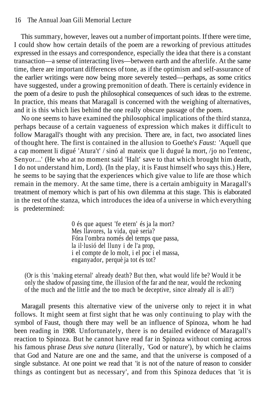#### 16 The Annual Joan Gili Memorial Lecture

This summary, however, leaves out a number of important points. If there were time, I could show how certain details of the poem are a reworking of previous attitudes expressed in the essays and correspondence, especially the idea that there is a constant transaction—a sense of interacting lives—between earth and the afterlife. At the same time, there are important differences of tone, as if the optimism and self-assurance of the earlier writings were now being more severely tested—perhaps, as some critics have suggested, under a growing premonition of death. There is certainly evidence in the poem of a desire to push the philosophical consequences of such ideas to the extreme. In practice, this means that Maragall is concerned with the weighing of alternatives, and it is this which lies behind the one really obscure passage of the poem.

No one seems to have examined the philosophical implications of the third stanza, perhaps because of a certain vagueness of expression which makes it difficult to follow Maragall's thought with any precision. There are, in fact, two associated lines of thought here. The first is contained in the allusion to Goethe's *Faust:* 'Aquell que a cap moment li digué 'Atura't' / sinó al mateix que li dugué la mort, /jo no l'entenc, Senyor...' (He who at no moment said 'Halt' save to that which brought him death, I do not understand him, Lord). (In the play, it is Faust himself who says this.) Here, he seems to be saying that the experiences which give value to life are those which remain in the memory. At the same time, there is a certain ambiguity in Maragall's treatment of memory which is part of his own dilemma at this stage. This is elaborated in the rest of the stanza, which introduces the idea of a universe in which everything is predetermined:

> 0 és que aquest 'fe etern' és ja la mort? Mes llavores, la vida, què seria? Fóra l'ombra només del temps que passa, la il·lusió del lluny i de l'a prop, i el compte de lo molt, i el poc i el massa, enganyador, perquè ja tot és tot?

(Or is this 'making eternal' already death? But then, what would life be? Would it be only the shadow of passing time, the illusion of the far and the near, would the reckoning of the much and the little and the too much be deceptive, since already all is all?)

Maragall presents this alternative view of the universe only to reject it in what follows. It might seem at first sight that he was only continuing to play with the symbol of Faust, though there may well be an influence of Spinoza, whom he had been reading in 1908. Unfortunately, there is no detailed evidence of Maragall's reaction to Spinoza. But he cannot have read far in Spinoza without coming across his famous phrase *Deus sive natura* (literally, 'God or nature'), by which he claims that God and Nature are one and the same, and that the universe is composed of a single substance. At one point we read that 'it is not of the nature of reason to consider things as contingent but as necessary', and from this Spinoza deduces that 'it is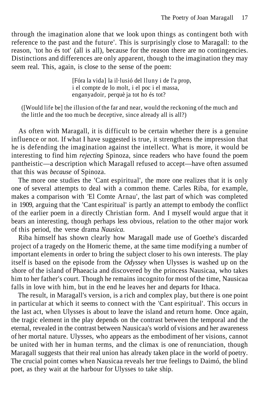through the imagination alone that we look upon things as contingent both with reference to the past and the future'. This is surprisingly close to Maragall: to the reason, 'tot ho és tot' (all is all), because for the reason there are no contingencies. Distinctions and differences are only apparent, though to the imagination they may seem real. This, again, is close to the sense of the poem:

> [Fóra la vida] la il·lusió del lluny i de l'a prop, i el compte de lo molt, i el poc i el massa, enganyadoir, perquè ja tot ho és tot?

([Would life be] the illusion of the far and near, would the reckoning of the much and the little and the too much be deceptive, since already all is all?)

As often with Maragall, it is difficult to be certain whether there is a genuine influence or not. If what I have suggested is true, it strengthens the impression that he is defending the imagination against the intellect. What is more, it would be interesting to find him *rejecting* Spinoza, since readers who have found the poem pantheistic—a description which Maragall refused to accept—have often assumed that this was *because* of Spinoza.

The more one studies the 'Cant espiritual', the more one realizes that it is only one of several attempts to deal with a common theme. Carles Riba, for example, makes a comparison with 'El Comte Arnau', the last part of which was completed in 1909, arguing that the 'Cant espiritual' is partly an attempt to embody the conflict of the earlier poem in a directly Christian form. And I myself would argue that it bears an interesting, though perhaps less obvious, relation to the other major work of this period, the verse drama *Nausica.*

Riba himself has shown clearly how Maragall made use of Goethe's discarded project of a tragedy on the Homeric theme, at the same time modifying a number of important elements in order to bring the subject closer to his own interests. The play itself is based on the episode from the *Odyssey* when Ulysses is washed up on the shore of the island of Phaeacia and discovered by the princess Nausicaa, who takes him to her father's court. Though he remains incognito for most of the time, Nausicaa falls in love with him, but in the end he leaves her and departs for Ithaca.

The result, in Maragall's version, is a rich and complex play, but there is one point in particular at which it seems to connect with the 'Cant espiritual'. This occurs in the last act, when Ulysses is about to leave the island and return home. Once again, the tragic element in the play depends on the contrast between the temporal and the eternal, revealed in the contrast between Nausicaa's world of visions and her awareness of her mortal nature. Ulysses, who appears as the embodiment of her visions, cannot be united with her in human terms, and the climax is one of renunciation, though Maragall suggests that their real union has already taken place in the world of poetry. The crucial point comes when Nausicaa reveals her true feelings to Daimó, the blind poet, as they wait at the harbour for Ulysses to take ship.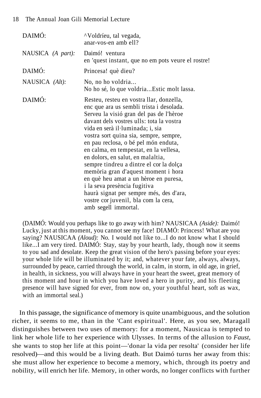| DAIMÓ:            | "Voldríeu, tal vegada,<br>anar-vos-en amb ell?                                                                                                                                                                                                                                                                                                                                                                                                                                                                                                                                                                                                         |
|-------------------|--------------------------------------------------------------------------------------------------------------------------------------------------------------------------------------------------------------------------------------------------------------------------------------------------------------------------------------------------------------------------------------------------------------------------------------------------------------------------------------------------------------------------------------------------------------------------------------------------------------------------------------------------------|
| NAUSICA (A part): | Daimó! ventura<br>en 'quest instant, que no em pots veure el rostre!                                                                                                                                                                                                                                                                                                                                                                                                                                                                                                                                                                                   |
| DAIMÓ:            | Princesa! què dieu?                                                                                                                                                                                                                                                                                                                                                                                                                                                                                                                                                                                                                                    |
| NAUSICA (Alt):    | No, no ho voldria<br>No ho sé, lo que voldriaEstic molt lassa.                                                                                                                                                                                                                                                                                                                                                                                                                                                                                                                                                                                         |
| DAIMÓ:            | Resteu, resteu en vostra llar, donzella,<br>enc que ara us sembli trista i desolada.<br>Serveu la visió gran del pas de l'hèroe<br>davant dels vostres ulls: tota la vostra<br>vida en serà il·luminada; i, sia<br>vostra sort quina sia, sempre, sempre,<br>en pau reclosa, o bé pel món enduta,<br>en calma, en tempestat, en la vellesa,<br>en dolors, en salut, en malaltia,<br>sempre tindreu a dintre el cor la dolça<br>memòria gran d'aquest moment i hora<br>en què heu amat a un hèroe en puresa,<br>i la seva presència fugitiva<br>haurà signat per sempre més, des d'ara,<br>vostre cor juvenil, bla com la cera,<br>amb segell immortal. |

(DAIMÓ: Would you perhaps like to go away with him? NAUSICAA *(Aside):* Daimó! Lucky, just at this moment, you cannot see my face! DIAMÓ: Princess! What are you saying? NAUSICAA *(Aloud):* No. I would not like to...I do not know what I should like...I am very tired. DAIMÓ: Stay, stay by your hearth, lady, though now it seems to you sad and desolate. Keep the great vision of the hero's passing before your eyes: your whole life will be illuminated by it; and, whatever your fate, always, always, surrounded by peace, carried through the world, in calm, in storm, in old age, in grief, in health, in sickness, you will always have in your heart the sweet, great memory of this moment and hour in which you have loved a hero in purity, and his fleeting presence will have signed for ever, from now on, your youthful heart, soft as wax, with an immortal seal.)

In this passage, the significance of memory is quite unambiguous, and the solution richer, it seems to me, than in the 'Cant espiritual'. Here, as you see, Maragall distinguishes between two uses of memory: for a moment, Nausicaa is tempted to link her whole life to her experience with Ulysses. In terms of the allusion to *Faust,* she wants to stop her life at this point—'donar la vida per resolta' (consider her life resolved)—and this would be a living death. But Daimó turns her away from this: she must allow her experience to become a memory, which, through its poetry and nobility, will enrich her life. Memory, in other words, no longer conflicts with further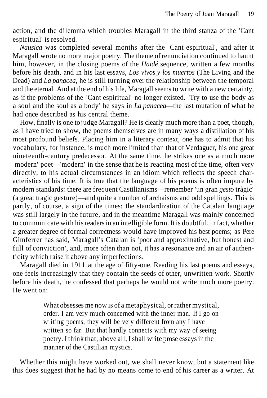action, and the dilemma which troubles Maragall in the third stanza of the 'Cant espiritual' is resolved.

*Nausica* was completed several months after the 'Cant espiritual', and after it Maragall wrote no more major poetry. The theme of renunciation continued to haunt him, however, in the closing poems of the *Haidé* sequence, written a few months before his death, and in his last essays, *Los vivos y los muertos* (The Living and the Dead) and *La panacea,* he is still turning over the relationship between the temporal and the eternal. And at the end of his life, Maragall seems to write with a new certainty, as if the problems of the 'Cant espiritual' no longer existed. 'Try to use the body as a soul and the soul as a body' he says in *La panacea*—the last mutation of what he had once described as his central theme.

How, finally is one to judge Maragall? He is clearly much more than a poet, though, as I have tried to show, the poems themselves are in many ways a distillation of his most profound beliefs. Placing him in a literary context, one has to admit that his vocabulary, for instance, is much more limited than that of Verdaguer, his one great nineteenth-century predecessor. At the same time, he strikes one as a much more 'modern' poet—'modern' in the sense that he is reacting most of the time, often very directly, to his actual circumstances in an idiom which reflects the speech characteristics of his time. It is true that the language of his poems is often impure by modern standards: there are frequent Castilianisms—remember 'un gran *gesto* tràgic' (a great tragic gesture)—and quite a number of archaisms and odd spellings. This is partly, of course, a sign of the times: the standardization of the Catalan language was still largely in the future, and in the meantime Maragall was mainly concerned to communicate with his readers in an intelligible form. It is doubtful, in fact, whether a greater degree of formal correctness would have improved his best poems; as Pere Gimferrer has said, Maragall's Catalan is 'poor and approximative, but honest and full of conviction', and, more often than not, it has a resonance and an air of authenticity which raise it above any imperfections.

Maragall died in 1911 at the age of fifty-one. Reading his last poems and essays, one feels increasingly that they contain the seeds of other, unwritten work. Shortly before his death, he confessed that perhaps he would not write much more poetry. He went on:

> What obsesses me now is of a metaphysical, or rather mystical, order. I am very much concerned with the inner man. If I go on writing poems, they will be very different from any I have written so far. But that hardly connects with my way of seeing poetry. I think that, above all, I shall write prose essays in the manner of the Castilian mystics.

Whether this might have worked out, we shall never know, but a statement like this does suggest that he had by no means come to end of his career as a writer. At